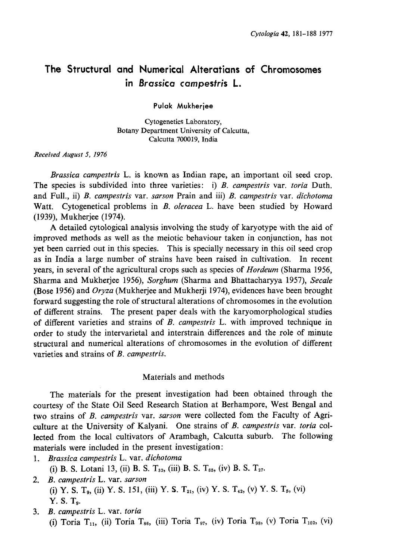# The Structural and Numerical Alteratians of Chromosomes in Brassica campestris L.

Pulak Mukherjee

Cytogenetics Laboratory, Botany Department University of Calcutta, Calcutta 700019, India

Received August 5, 1976

Brassica campestris L. is known as Indian rape, an important oil seed crop. The species is subdivided into three varieties: i) B. campestris var. toria Duth. and Full., ii) B. campestris var. sarson Prain and iii) B. campestris var. dichotoma Watt. Cytogenetical problems in B. oleracea L. have been studied by Howard (1939), Mukherjee (1974).

A detailed cytological analysis involving the study of karyotype with the aid of improved methods as well as the meiotic behaviour taken in conjunction, has not yet been carried out in this species. This is specially necessary in this oil seed crop as in India a large number of strains have been raised in cultivation. In recent years, in several of the agricultural crops such as species of Hordeum (Sharma 1956, Sharma and Mukherjee 1956), Sorghum (Sharma and Bhattacharyya 1957), Secale (Bose 1956) and Oryza (Mukherjee and Mukherji 1974), evidences have been brought forward suggesting the role of structural alterations of chromosomes in the evolution of different strains. The present paper deals with the karyomorphological studies of different varieties and strains of B. campestris L. with improved technique in order to study the intervarietal and interstrain differences and the role of minute structural and numerical alterations of chromosomes in the evolution of different varieties and strains of B. campestris.

### Materials and methods

The materials for the present investigation had been obtained through the courtesy of the State Oil Seed Research Station at Berhampore, West Bengal and two strains of B. campestris var. sarson were collected fom the Faculty of Agriculture at the University of Kalyani. One strains of B. campestris var. toria col lected from the local cultivators of Arambagh, Calcutta suburb. The following materials were included in the present investigation:

- 1. Brassica campestris L. var. dichotoma (i) B. S. Lotani 13, (ii) B. S. T<sub>32</sub>, (iii) B. S. T<sub>65</sub>, (iv) B. S. T<sub>27</sub>.
- 2. B. campestris L. var. sarson (i) Y. S. T<sub>9</sub>, (ii) Y. S. 151, (iii) Y. S. T<sub>21</sub>, (iv) Y. S. T<sub>42</sub>, (v) Y. S. T<sub>5</sub>, (vi) Y. S.  $T_{9}$ .
- 3. B. campestris L. var. toria (i) Toria T<sub>11</sub>, (ii) Toria T<sub>86</sub>, (iii) Toria T<sub>97</sub>, (iv) Toria T<sub>98</sub>, (v) Toria T<sub>102</sub>, (vi)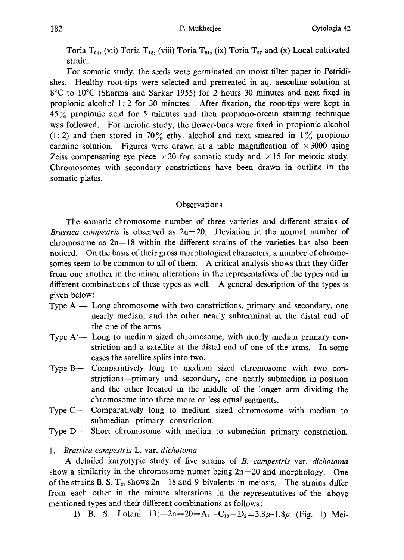Toria  $T_{54}$ , (vii) Toria  $T_{18}$ , (viii) Toria  $T_{81}$ , (ix) Toria  $T_{97}$  and (x) Local cultivated strain.

For somatic study, the seeds were germinated on moist filter paper in Petridi shes. Healthy root-tips were selected and pretreated in aq. aesculine solution at 8•Ž to 10•Ž (Sharma and Sarkar 1955) for 2 hours 30 minutes and next fixed in propionic alcohol 1:2 for 30 minutes. After fixation, the root-tips were kept in 45% propionic acid for 5 minutes and then propiono-orcein staining technique was followed. For meiotic study, the flower-buds were fixed in propionic alcohol (1:2) and then stored in 70% ethyl alcohol and next smeared in  $1\%$  propiono carmine solution. Figures were drawn at a table magnification of  $\times 3000$  using Zeiss compensating eye piece  $\times$  20 for somatic study and  $\times$  15 for meiotic study. Chromosomes with secondary constrictions have been drawn in outline in the somatic plates.

# **Observations**

The somatic chromosome number of three varieties and different strains of Brassica campestris is observed as  $2n=20$ . Deviation in the normal number of chromosome as  $2n=18$  within the different strains of the varieties has also been noticed. On the basis of their gross morphological characters, a number of chromo somes seem to be common to all of them. A critical analysis shows that they differ from one another in the minor alterations in the representatives of the types and in different combinations of these types as well. A general description of the types is given below:

- Type  $A Long$  chromosome with two constrictions, primary and secondary, one nearly median, and the other nearly subterminal at the distal end of the one of the arms.
- Type  $A'$  Long to medium sized chromosome, with nearly median primary constriction and a satellite at the distal end of one of the arms. In some cases the satellite splits into two.
- Type B— Comparatively long to medium sized chromosome with two constrictions-primary and secondary, one nearly submedian in position and the other located in the middle of the longer arm dividing the chromosome into three more or less equal segments.
- Type C- Comparatively long to medium sized chromosome with median to submedian primary constriction.
- Type D-- Short chromosome with median to submedian primary constriction.

# 1. Brassica campestris L. var. dichotoma

A detailed karyotypic study of five strains of B. campestris var. dichotoma show a similarity in the chromosome numer being  $2n=20$  and morphology. One of the strains B. S.  $T_{27}$  shows  $2n=18$  and 9 bivalents in meiosis. The strains differ from each other in the minute alterations in the representatives of the above mentioned types and their different combinations as follows:

I) B. S. Lotani  $13:-2n=20=A_2+C_{10}+D_8=3.8\mu-1.8\mu$  (Fig. 1) Mei-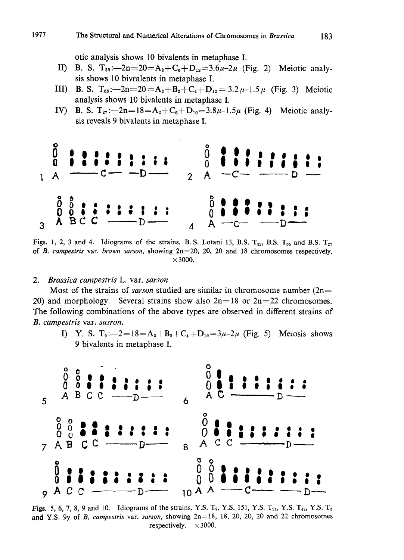otic analysis shows 10 bivalents in metaphase I.

- II) B. S.  $T_{32}:\rightarrow 2n=20=A_2+C_6+D_{12}=3.6\mu-2\mu$  (Fig. 2) Meiotic analysis shows 10 bivralents in metaphase I.
- III) B. S. T<sub>65</sub>: $-2n=20=A_2+B_2+C_4+D_{12}=3.2\mu-1.5\mu$  (Fig. 3) Meiotic analysis shows 10 bivalents in metaphase I.
- IV) B. S. T<sub>27</sub>: $-2n=18=A_2+C_6+D_{10}=3.8\mu-1.5\mu$  (Fig. 4) Meiotic analysis reveals 9 bivalents in metaphase I.



Figs. 1, 2, 3 and 4. Idiograms of the strains. B. S. Lotani 13, B.S.  $T_{32}$ , B.S.  $T_{65}$  and B.S.  $T_{27}$ of B. campestris var. brown sarson, showing  $2n=20$ , 20, 20 and 18 chromosomes respectively.  $\times$  3000.

2. Brassica campestris L. var. sarson

Most of the strains of *sarson* studied are similar in chromosome number  $(2n=$ 20) and morphology. Several strains show also  $2n=18$  or  $2n=22$  chromosomes. The following combinations of the above types are observed in different strains of B. campestris var. sasron.

I) Y. S.  $T_9: -2=18=A_2+B_2+C_4+D_{10}=3\mu-2\mu$  (Fig. 5) Meiosis shows 9 bivalents in metaphase I.



Figs. 5, 6, 7, 8, 9 and 10. Idiograms of the strains. Y.S. T<sub>9</sub>, Y.S. 151, Y.S. T<sub>21</sub>, Y.S. T<sub>42</sub>, Y.S. T<sub>5</sub> and Y.S. 9y of B. campestris var. sarson, showing  $2n=18$ , 18, 20, 20, 20 and 22 chromosomes respectively.  $\times 3000$ .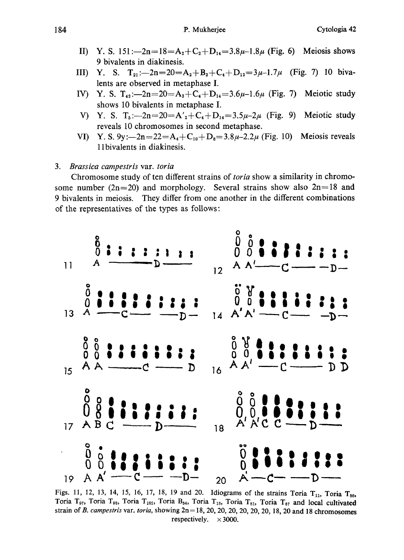- II) Y. S. 151: $-2n=18=A_2+C_2+D_{14}=3.8\mu-1.8\mu$  (Fig. 6) Meiosis shows 9 bivalents in diakinesis.
- III) Y. S. T<sub>21</sub>: $-2n=20=A_2+B_2+C_4+D_{12}=3\mu-1.7\mu$  (Fig. 7) 10 bivalents are observed in metaphase I.
- IV) Y. S.  $T_{42}$ :  $-2n=20=A_2+C_4+D_{14}=3.6\mu-1.6\mu$  (Fig. 7) Meiotic study shows 10 bivalents in metaphase I.
- V) Y. S.  $T_5:=-2n=20=A'_2+C_4+D_{14}=3.5\mu-2\mu$  (Fig. 9) Meiotic study reveals 10 chromosomes in second metaphase.
- VI) Y. S.  $9y:-2n=22=A_4+C_{10}+D_8=3.8\mu-2.2\mu$  (Fig. 10) Meiosis reveals ll bivalents in diakinesis.

### 3. Brassica campestris var. toria

Chromosome study of ten different strains of toria show a similarity in chromo some number (2n=20) and morphology. Several strains show also  $2n=18$  and 9 bivalents in meiosis. They differ from one another in the different combinations of the representatives of the types as follows :



Figs. 11, 12, 13, 14, 15, 16, 17, 18, 19 and 20. Idiograms of the strains Toria  $T_{11}$ , Toria  $T_{86}$ , Toria T<sub>97</sub>, Toria T<sub>98</sub>, Toria T<sub>102</sub>, Toria B<sub>54</sub>, Toria T<sub>18</sub>, Toria T<sub>81</sub>, Toria T<sub>67</sub> and local cultivated strain of B. campestris var. toria, showing  $2n= 18$ , 20, 20, 20, 20, 20, 20, 18, 20 and 18 chromosomes respectively.  $\times 3000$ .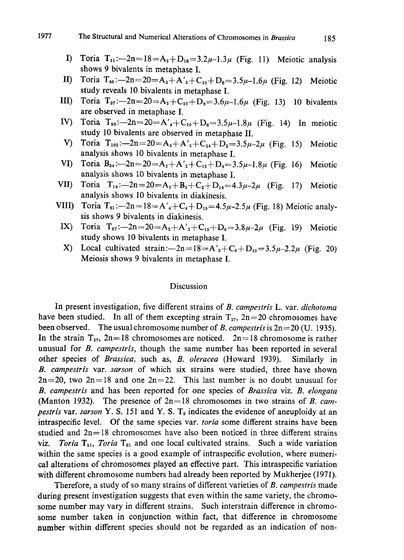- I) Toria  $T_{11}$ :--2n=18=A<sub>2</sub>+D<sub>16</sub>=3.2 $\mu$ -1.3 $\mu$  (Fig. 11) Meiotic analysis shows 9 bivalents in metaphase I.
- II) Toria T<sub>86</sub>: $-2n=20=A_2+A'_2+C_{10}+D_6=3.5\mu-1.6\mu$  (Fig. 12) Meiotic study reveals 10 bivalents in metaphase I.
- III) Toria  $T_{97}$ :-2n=20=A<sub>2</sub>+C<sub>10</sub>+D<sub>8</sub>=3.6 $\mu$ -1.6 $\mu$  (Fig. 13) 10 bivalents are observed in metaphase I.
- IV) Toria  $T_{98}$ :--2n=20=A'<sub>4</sub>+C<sub>10</sub>+D<sub>6</sub>=3.5 $\mu$ -1.8 $\mu$  (Fig. 14) In meiotic study 10 bivalents are observed in metaphase II.
- V) Toria  $T_{102}$ : $-2n=20=A_2+A'_2+C_{14}+D_2=3.5\mu-2\mu$  (Fig. 15) Meiotic analysis shows 10 bivalents in metaphase I.
- VI) Toria  $B_{54}$ :--2n=20= $A_2+A'_2+C_{12}+D_4=3.5\mu-1.8\mu$  (Fig. 16) Meiotic analysis shows 10 bivalents in metaphase I.
- VII) Toria  $T_{18}$ ; -2n=20= $A_2 + B_2 + C_2 + D_{14} = 4.3\mu 2\mu$  (Fig. 17) Meiotic analysis shows 10 bivalents in diakinesis.
- VIII) Toria T<sub>81</sub>: $-2n=18=A'_4+C_4+D_{10}=4.5\mu-2.5\mu$  (Fig. 18) Meiotic analysis shows 9 bivalents in diakinesis.
	- IX) Toria  $T_{67}$ :  $-2n=20=A_2+A'_2+C_{10}+D_6=3.8\mu-2\mu$  (Fig. 19) Meiotic study shows 10 bivalents in metaphase I.
	- X) Local cultivated strain: $-2n=18=A'_2+C_6+D_{10}=3.5\mu-2.2\mu$  (Fig. 20) Meiosis shows 9 bivalents in metaphase I.

## Discussion

In present investigation, five different strains of B. campestris L. var. dichotoma have been studied. In all of them excepting strain  $T_{27}$ ,  $2n=20$  chromosomes have been observed. The usual chromosome number of B. campestris is  $2n=20$  (U. 1935). In the strain  $T_{27}$ ,  $2n=18$  chromosomes are noticed.  $2n=18$  chromosome is rather unusual for *B. campestris*, though the same number has been reported in several other species of Brassica, such as, B. oleracea (Howard 1939). Similarly in B. campestris var. sarson of which six strains were studied, three have shown  $2n=20$ , two  $2n=18$  and one  $2n=22$ . This last number is no doubt unusual for B. campestris and has been reported for one species of Brassica viz. B. elongata (Manton 1932). The presence of  $2n=18$  chromosomes in two strains of B. campestris var. sarson Y. S. 151 and Y. S.  $T_9$  indicates the evidence of aneuploidy at an intraspecific level. Of the same species var. toria some different strains have been studied and  $2n=18$  chromosomes have also been noticed in three different strains viz. Toria  $T_{11}$ , Toria  $T_{81}$  and one local cultivated strains. Such a wide variation within the same species is a good example of intraspecific evolution, where numerical alterations of chromosomes played an effective part. This intraspecific variation with different chromosome numbers had already been reported by Mukherjee (1971).

Therefore, a study of so many strains of different varieties of B. campestris made during present investigation suggests that even within the same variety, the chromo some number may vary in different strains. Such interstrain difference in chromo some number taken in conjunction within fact, that difference in chromosome number within different species should not be regarded as an indication of non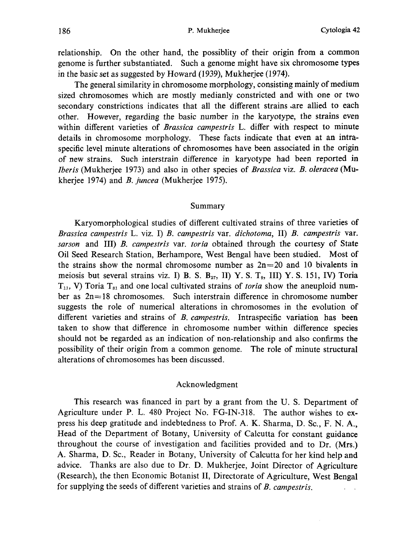relationship. On the other hand, the possiblity of their origin from a common genome is further substantiated. Such a genome might have six chromosome types in the basic set as suggested by Howard (1939), Mukherjee (1974).

The general similarity in chromosome morphology, consisting mainly of medium sized chromosomes which are mostly medianly constricted and with one or two secondary constrictions indicates that all the different strains .are allied to each other. However, regarding the basic number in the karyotype, the strains even within different varieties of Brassica campestris L. differ with respect to minute details in chromosome morphology. These facts indicate that even at an intra specific level minute alterations of chromosomes have been associated in the origin of new strains. Such interstrain difference in karyotype had been reported in Iberis (Mukherjee 1973) and also in other species of Brassica viz. B. oleracea (Mu kherjee 1974) and B. juncea (Mukherjee 1975).

#### Summary

Karyomorphological studies of different cultivated strains of three varieties of Brassica campestris L. viz. I) B. campestris var. dichotoma, II) B. campestris var. sarson and III) B. campestris var. toria obtained through the courtesy of State Oil Seed Research Station, Berhampore, West Bengal have been studied. Most of the strains show the normal chromosome number as  $2n=20$  and 10 bivalents in meiosis but several strains viz. I) B. S.  $B_{27}$ , II) Y. S. T<sub>9</sub>, III) Y. S. 151, IV) Toria  $T_{11}$ , V) Toria  $T_{81}$  and one local cultivated strains of *toria* show the aneuploid number as  $2n=18$  chromosomes. Such interstrain difference in chromosome number suggests the role of numerical alterations in chromosomes in the evolution of different varieties and strains of B. campestris. Intraspecific variation has been taken to show that difference in chromosome number within difference species should not be regarded as an indication of non-relationship and also confirms the possibility of their origin from a common genome. The role of minute structural alterations of chromosomes has been discussed.

### Acknowledgment

This research was financed in part by a grant from the U. S. Department of Agriculture under P. L. 480 Project No. FG-IN-318. The author wishes to ex press his deep gratitude and indebtedness to Prof. A. K. Sharma, D. Sc., F. N. A., Head of the Department of Botany, University of Calcutta for constant guidance throughout the course of investigation and facilities provided and to Dr. (Mrs.) A. Sharma, D. Sc., Reader in Botany, University of Calcutta for her kind help and advice. Thanks are also due to Dr. D. Mukherjee, Joint Director of Agriculture (Research), the then Economic Botanist II, Directorate of Agriculture, West Bengal for supplying the seeds of different varieties and strains of B. campestris.